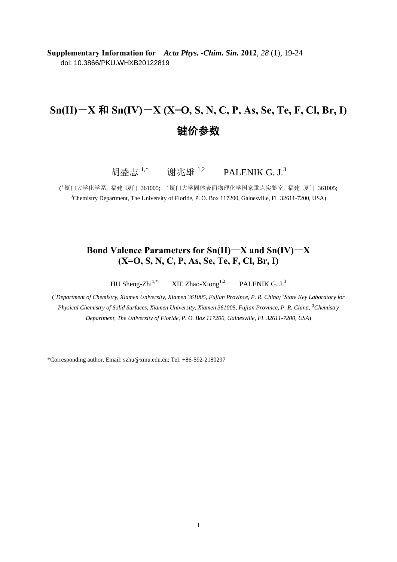**Supplementary Information for** *Acta Phys. -Chim. Sin.* **2012**, *28* (1), 19-24 doi: 10.3866/PKU.WHXB20122819

# **Sn(II)**―**X** 和 **Sn(IV)**―**X (X=O, S, N, C, P, As, Se, Te, F, Cl, Br, I)** 键价参数

胡盛志  $1,^*$  谢兆雄  $1,^2$  PALENIK G. J.<sup>3</sup>

 $(^{l}$ 厦门大学化学系, 福建 厦门 361005;  $^{\text{2}}$ 厦门大学固体表面物理化学国家重点实验室, 福建 厦门 361005; <sup>3</sup>Chemistry Department, The University of Floride, P. O. Box 117200, Gainesville, FL 32611-7200, USA)

#### **Bond Valence Parameters for Sn(II)**―**X and Sn(IV)**―**X (X=O, S, N, C, P, As, Se, Te, F, Cl, Br, I)**

HU Sheng-Zhi<sup>1,\*</sup> XIE Zhao-Xiong<sup>1,2</sup> PALENIK G. J.<sup>3</sup>

<sup>1</sup>Department of Chemistry, Xiamen University, Xiamen 361005, Fujian Province, P. R. China; <sup>2</sup>State Key Laboratory for Physical Chemistry of Solid Surfaces, Xiamen University, Xiamen 361005, Fujian Province, P. R. China; <sup>3</sup>Chemistry *Department, The University of Floride, P. O. Box 117200, Gainesville, FL 32611-7200, USA*)

\*Corresponding author. Email: szhu@xmu.edu.cn; Tel: +86-592-2180297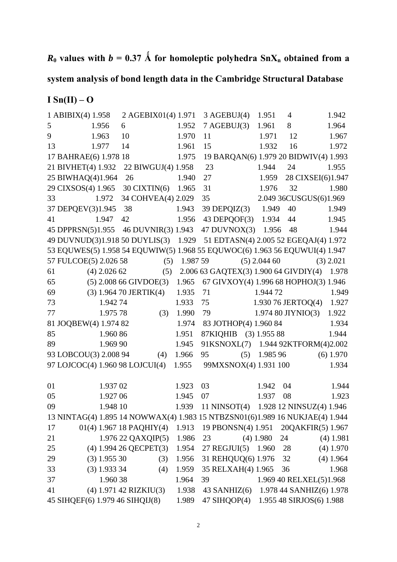# $R_0$  values with  $b = 0.37 \text{ Å}$  for homoleptic polyhedra  $SnX_n$  obtained from a

# **system analysis of bond length data in the Cambridge Structural Database**

### **I Sn(II) – O**

|    | 1 ABIBIX(4) $1.958$   | 2 AGEBIX01(4) 1.971                                                          |             |    | 3 AGEBUI(4)                                 | 1.951               | 4  |                          | 1.942       |
|----|-----------------------|------------------------------------------------------------------------------|-------------|----|---------------------------------------------|---------------------|----|--------------------------|-------------|
| 5  | 1.956                 | 6                                                                            | 1.952       |    | 7 A GEBUJ(3)                                | 1.961               | 8  |                          | 1.964       |
| 9  | 1.963                 | 10                                                                           | 1.970       | 11 |                                             | 1.971               | 12 |                          | 1.967       |
| 13 | 1.977                 | 14                                                                           | 1.961       | 15 |                                             | 1.932               | 16 |                          | 1.972       |
|    | 17 BAHRAE(6) 1.978 18 |                                                                              | 1.975       |    | 19 BARQAN(6) 1.979 20 BIDWIV(4) 1.993       |                     |    |                          |             |
|    | 21 BIVHET(4) 1.932    | 22 BIWGUJ(4) 1.958                                                           |             | 23 |                                             | 1.944               | 24 |                          | 1.955       |
|    | 25 BIWHAQ(4)1.964     | 26                                                                           | 1.940       | 27 |                                             | 1.959               |    | 28 CIXSEI(6)1.947        |             |
|    | 29 CIXSOS(4) 1.965    | 30 CIXTIN(6) 1.965                                                           |             | 31 |                                             | 1.976               | 32 |                          | 1.980       |
| 33 | 1.972                 | 34 COHVEA(4) 2.029                                                           |             | 35 |                                             |                     |    | 2.049 36CUSGUS(6)1.969   |             |
|    | 37 DEPQEV(3)1.945     | 38                                                                           | 1.943       |    | $39$ DEPQIZ $(3)$                           | 1.949               | 40 |                          | 1.949       |
| 41 | 1.947                 | 42                                                                           | 1.956       |    | 43 DEPQOF(3)                                | 1.934               | 44 |                          | 1.945       |
|    |                       | 45 DPPRSN(5)1.955 46 DUVNIR(3) 1.943                                         |             |    | 47 DUVNOX(3) 1.956                          |                     | 48 |                          | 1.944       |
|    |                       | 49 DUVNUD(3)1.918 50 DUYLIS(3) 1.929 51 EDTASN(4) 2.005 52 EGEQAJ(4) 1.972   |             |    |                                             |                     |    |                          |             |
|    |                       | 53 EQUWES(5) 1.958 54 EQUWIW(5) 1.968 55 EQUWOC(6) 1.963 56 EQUWUI(4) 1.947  |             |    |                                             |                     |    |                          |             |
|    | 57 FULCOE(5) 2.026 58 | $(5)$ 1.987 59                                                               |             |    |                                             | $(5)$ 2.044 60      |    | $(3)$ 2.021              |             |
| 61 | $(4)$ 2.026 62        |                                                                              | (5)         |    | 2.006 63 GAQTEX(3) 1.900 64 GIVDIY(4) 1.978 |                     |    |                          |             |
| 65 |                       | $(5)$ 2.008 66 GIVDOE $(3)$                                                  | 1.965       |    | 67 GIVXOY(4) 1.996 68 HOPHOJ(3) 1.946       |                     |    |                          |             |
| 69 |                       | $(3)$ 1.964 70 JERTIK $(4)$                                                  | 1.935       | 71 |                                             | 1.944 72            |    |                          | 1.949       |
| 73 | 1.94274               |                                                                              | 1.933       | 75 |                                             |                     |    | $1.930\,76$ JERTOQ(4)    | 1.927       |
| 77 | 1.975 78              | (3)                                                                          | 1.990       | 79 |                                             | $1.97480$ JIYNIO(3) |    |                          | 1.922       |
|    | 81 JOQBEW(4) 1.974 82 |                                                                              | 1.974       |    | 83 JOTHOP(4) 1.960 84                       |                     |    |                          | 1.934       |
| 85 | 1.960 86              |                                                                              | 1.951       |    | 87KIQHIB (3) 1.955 88                       |                     |    |                          | 1.944       |
| 89 | 1.969 90              |                                                                              | 1.945       |    | 91KSNOXL(7) 1.944 92KTFORM(4)2.002          |                     |    |                          |             |
|    | 93 LOBCOU(3) 2.008 94 |                                                                              | $(4)$ 1.966 | 95 | (5)                                         | 1.985 96            |    |                          | $(6)$ 1.970 |
|    |                       | 97 LOJCOC(4) 1.960 98 LOJCUI(4)                                              | 1.955       |    | 99MXSNOX(4) 1.931 100                       |                     |    |                          | 1.934       |
|    |                       |                                                                              |             |    |                                             |                     |    |                          |             |
| 01 | 1.937 02              |                                                                              | 1.923       | 03 |                                             | 1.942               | 04 |                          | 1.944       |
| 05 | 1.927 06              |                                                                              | 1.945       | 07 |                                             | 1.937               | 08 |                          | 1.923       |
| 09 | 1.948 10              |                                                                              | 1.939       |    | 11 NINSOT $(4)$                             |                     |    | 1.928 12 NINSUZ(4) 1.946 |             |
|    |                       | 13 NINTAG(4) 1.895 14 NOWWAX(4) 1.983 15 NTBZSN01(6)1.989 16 NUKJAE(4) 1.944 |             |    |                                             |                     |    |                          |             |
| 17 |                       | $01(4)$ 1.967 18 PAQHIY(4)                                                   | 1.913       |    | 19 PBONSN(4) 1.951                          |                     |    | 20QAKFIR(5) 1.967        |             |
| 21 |                       | 1.976 22 QAXQIP(5)                                                           | 1.986       | 23 |                                             | $(4)$ 1.980         | 24 |                          | $(4)$ 1.981 |
| 25 |                       | (4) 1.994 26 QECPET(3)                                                       | 1.954       |    | $27$ REGJUI $(5)$                           | 1.960               | 28 |                          | $(4)$ 1.970 |
| 29 | $(3)$ 1.955 30        | (3)                                                                          | 1.956       |    | 31 REHQUQ(6) 1.976                          |                     | 32 |                          | $(4)$ 1.964 |
| 33 | $(3)$ 1.933 34        | (4)                                                                          | 1.959       |    | 35 RELXAH(4) 1.965                          |                     | 36 |                          | 1.968       |
| 37 | 1.960 38              |                                                                              | 1.964       | 39 |                                             |                     |    | 1.969 40 RELXEL(5)1.968  |             |
| 41 |                       | (4) 1.971 42 RIZKIU(3)                                                       | 1.938       |    | 43 SANHIZ $(6)$                             |                     |    | 1.978 44 SANHIZ(6) 1.978 |             |
|    |                       | 45 SIHQEF(6) 1.979 46 SIHQIJ(8)                                              | 1.989       |    | 47 SIHQOP(4)                                |                     |    | 1.955 48 SIRJOS(6) 1.988 |             |

2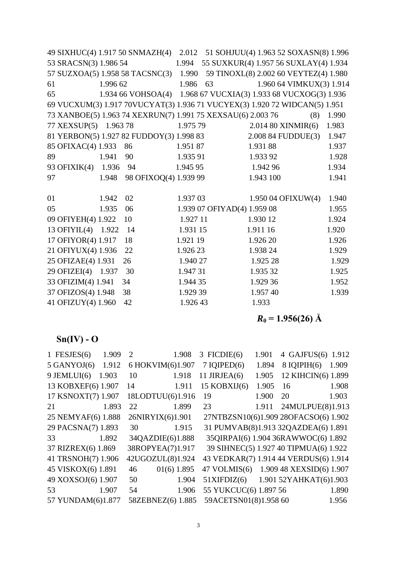|                       |          | 49 SIXHUC(4) 1.917 50 SNMAZH(4)                                            |          | 2.012 51 SOHJUU(4) 1.963 52 SOXASN(8) 1.996 |           |                                       |       |
|-----------------------|----------|----------------------------------------------------------------------------|----------|---------------------------------------------|-----------|---------------------------------------|-------|
| 53 SRACSN(3) 1.986 54 |          |                                                                            | 1.994    | 55 SUXKUR(4) 1.957 56 SUXLAY(4) 1.934       |           |                                       |       |
|                       |          | 57 SUZXOA(5) 1.958 58 TACSNC(3) 1.990                                      |          |                                             |           | 59 TINOXL(8) 2.002 60 VEYTEZ(4) 1.980 |       |
| 61                    | 1.996 62 |                                                                            | 1.986    | 63                                          |           | 1.960 64 VIMKUX(3) 1.914              |       |
| 65                    |          | 1.934 66 VOHSOA(4) 1.968 67 VUCXIA(3) 1.933 68 VUCXOG(3) 1.936             |          |                                             |           |                                       |       |
|                       |          | 69 VUCXUM(3) 1.917 70VUCYAT(3) 1.936 71 VUCYEX(3) 1.920 72 WIDCAN(5) 1.951 |          |                                             |           |                                       |       |
|                       |          | 73 XANBOE(5) 1.963 74 XEXRUN(7) 1.991 75 XEXSAU(6) 2.003 76                |          |                                             |           | (8)                                   | 1.990 |
| 77 XEXSUP(5) 1.963 78 |          |                                                                            | 1.975 79 |                                             |           | 2.014 80 XINMIR(6)                    | 1.983 |
|                       |          | 81 YERBON(5) 1.927 82 FUDDOY(3) 1.998 83                                   |          |                                             |           | 2.008 84 FUDDUE(3)                    | 1.947 |
| 85 OFIXAC(4) 1.933    |          | 86                                                                         | 1.95187  |                                             | 1.93188   |                                       | 1.937 |
| 89                    | 1.941    | 90                                                                         | 1.935 91 |                                             | 1.933 92  |                                       | 1.928 |
| 93 OFIXIK(4) 1.936    |          | - 94                                                                       | 1.945 95 |                                             | 1.942 96  |                                       | 1.934 |
| 97                    | 1.948    | 98 OFIXOQ(4) 1.939 99                                                      |          |                                             | 1.943 100 |                                       | 1.941 |
|                       |          |                                                                            |          |                                             |           |                                       |       |
| 01                    | 1.942    | 02                                                                         | 1.937 03 |                                             |           | 1.950 04 OFIXUW(4)                    | 1.940 |
| 05                    | 1.935    | 06                                                                         |          | 1.939 07 OFIYAD(4) 1.959 08                 |           |                                       | 1.955 |
| 09 OFIYEH(4) 1.922    |          | 10                                                                         | 1.927 11 |                                             | 1.930 12  |                                       | 1.924 |
| 13 OFIYIL(4) 1.922    |          | 14                                                                         | 1.931 15 |                                             | 1.911 16  |                                       | 1.920 |
| 17 OFIYOR(4) 1.917    |          | 18                                                                         | 1.921 19 |                                             | 1.926 20  |                                       | 1.926 |
| 21 OFIYUX(4) 1.936    |          | 22                                                                         | 1.926 23 |                                             | 1.938 24  |                                       | 1.929 |
| 25 OFIZAE(4) 1.931    |          | 26                                                                         | 1.940 27 |                                             | 1.925 28  |                                       | 1.929 |
| 29 OFIZEI(4) 1.937    |          | 30                                                                         | 1.947 31 |                                             | 1.935 32  |                                       | 1.925 |
| 33 OFIZIM(4) 1.941    |          | 34                                                                         | 1.944 35 |                                             | 1.929 36  |                                       | 1.952 |
| 37 OFIZOS(4) 1.948    |          | 38                                                                         | 1.929 39 |                                             | 1.957 40  |                                       | 1.939 |
| 41 OFIZUY(4) 1.960    |          | 42                                                                         | 1.926 43 |                                             | 1.933     |                                       |       |
|                       |          |                                                                            |          |                                             |           |                                       |       |

 $R_0 = 1.956(26)$  Å

# **Sn(IV) - O**

| 1 FESJES $(6)$     | 1.909 | $\overline{2}$ | 1.908             | $3$ FICDIE(6)         | 1.901 | 4 GAJFUS(6)                           | 1.912 |
|--------------------|-------|----------------|-------------------|-----------------------|-------|---------------------------------------|-------|
| $5$ GANYOJ $(6)$   | 1.912 |                | 6 HOKVIM(6)1.907  | $7$ IQIPED $(6)$      | 1.894 | $8$ IQIPIH $(6)$                      | 1.909 |
| $9$ JEMLUI(6)      | 1.903 | 10             | 1.918             | 11 JIRJEA $(6)$       | 1.905 | 12 KIHCIN(6) 1.899                    |       |
| 13 KOBXEF(6) 1.907 |       | 14             | 1.911             | 15 KOBXIJ(6)          | 1.905 | 16                                    | 1.908 |
| 17 KSNOXT(7) 1.907 |       |                | 18LODTUU(6)1.916  | 19                    | 1.900 | 20                                    | 1.903 |
| 21                 | 1.893 | 22             | 1.899             | 23                    | 1.911 | 24MULPUE(8)1.913                      |       |
| 25 NEMYAF(6) 1.888 |       |                | 26NIRYIX(6)1.901  |                       |       | 27NTBZSN10(6)1.909 28OFACSO(6) 1.902  |       |
| 29 PACSNA(7) 1.893 |       | 30             | 1.915             |                       |       | 31 PUMVAB(8)1.913 32QAZDEA(6) 1.891   |       |
| 33                 | 1.892 |                | 34QAZDIE(6)1.888  |                       |       | 35QIRPAI(6) 1.904 36RAWWOC(6) 1.892   |       |
| 37 RIZREX(6) 1.869 |       |                | 38ROPYEA(7)1.917  |                       |       | 39 SIHNEC(5) 1.927 40 TIPMUA(6) 1.922 |       |
| 41 TRSNOH(7) 1.906 |       |                | 42UGOZUL(8)1.924  |                       |       | 43 VEDKAR(7) 1.914 44 VERDUS(6) 1.914 |       |
| 45 VISKOX(6) 1.891 |       | 46             | 01(6) 1.895       | $47$ VOLMIS(6)        |       | 1.909 48 XEXSID(6) 1.907              |       |
| 49 XOXSOJ(6) 1.907 |       | 50             | 1.904             | 51XIFDIZ(6)           |       | 1.901 52YAHKAT(6)1.903                |       |
| 53                 | 1.907 | 54             | 1.906             | 55 YUKCUC(6) 1.897 56 |       |                                       | 1.890 |
| 57 YUNDAM(6)1.877  |       |                | 58ZEBNEZ(6) 1.885 | 59ACETSN01(8)1.958 60 |       |                                       | 1.956 |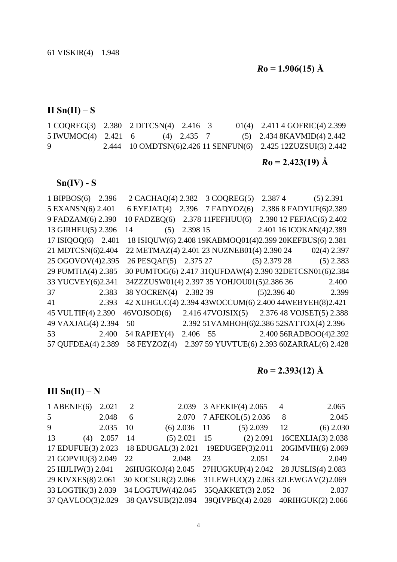$R_0 = 1.906(15)$  Å

 $II$  Sn( $II$ ) – S

1 COQREG(3) 2.380 2 DITCSN(4) 2.416 3 01(4) 2.411 4 GOFRIC(4) 2.399 5 IWUMOC(4) 2.421 6 (4) 2.435 7 (5) 2.434 8KAVMID(4) 2.442 9 2.444 10 OMDTSN(6)2.426 11 SENFUN(6) 2.425 12ZUZSUI(3) 2.442

 $R_0 = 2.423(19)$  Å

**Sn(IV) - S** 

1 BIPBOS(6) 2.396 2 CACHAQ(4) 2.382 3 COQREG(5) 2.387 4 (5) 2.391 5 EXANSN(6) 2.401 6 EYEJAT(4) 2.396 7 FADYOZ(6) 2.386 8 FADYUF(6)2.389 9 FADZAM(6) 2.390 10 FADZEQ(6) 2.378 11FEFHUU(6) 2.390 12 FEFJAC(6) 2.402 13 GIRHEU(5) 2.396 14 (5) 2.398 15 2.401 16 ICOKAN(4)2.389 17 ISIQOQ(6) 2.401 18 ISIQUW(6) 2.408 19KABMOQ01(4)2.399 20KEFBUS(6) 2.381 21 MDTCSN(6)2.404 22 METMAZ(4) 2.401 23 NUZNEB01(4) 2.390 24 02(4) 2.397 25 OGOVOV(4)2.395 26 PESQAF(5) 2.375 27 (5) 2.379 28 (5) 2.383 29 PUMTIA(4) 2.385 30 PUMTOG(6) 2.417 31QUFDAW(4) 2.390 32DETCSN01(6)2.384 33 YUCVEY(6)2.341 34ZZZUSW01(4) 2.397 35 YOHJOU01(5)2.386 36 2.400 37 2.383 38 YOCREN(4) 2.382 39 (5)2.396 40 2.399 41 2.393 42 XUHGUC(4) 2.394 43WOCCUM(6) 2.400 44WEBYEH(8)2.421 45 VULTIF(4) 2.390 46VOJSOD(6) 2.416 47VOJSIX(5) 2.376 48 VOJSET(5) 2.388 49 VAXJAG(4) 2.394 50 2.392 51VAMHOH(6)2.386 52SATTOX(4) 2.396 53 2.400 54 RAPJEY(4) 2.406 55 2.400 56RADBOO(4)2.392 57 QUFDEA(4) 2.389 58 FEYZOZ(4) 2.397 59 YUVTUE(6) 2.393 60ZARRAL(6) 2.428

 $R_0 = 2.393(12)$  Å

**III Sn(II) – N** 

| $1$ ABENIE(6)      | 2.021 | 2  | 2.039                               |    | 3 AFEKIF(4) 2.065    | 4  | 2.065                                |
|--------------------|-------|----|-------------------------------------|----|----------------------|----|--------------------------------------|
| 5 <sup>5</sup>     | 2.048 | 6  | 2.070                               |    | 7 AFEKOL(5) 2.036    | 8  | 2.045                                |
| 9                  | 2.035 | 10 | $(6)$ 2.036 11                      |    | $(5)$ 2.039          | 12 | $(6)$ 2.030                          |
| 13<br>(4)          | 2.057 | 14 | $(5)$ 2.021                         | 15 | $(2)$ 2.091          |    | 16CEXLIA(3) 2.038                    |
| 17 EDUFUE(3) 2.023 |       |    | 18 EDUGAL(3) 2.021 19EDUGEP(3)2.011 |    |                      |    | 20GIMVIH(6) 2.069                    |
| 21 GOPVIU(3) 2.049 |       | 22 | 2.048                               | 23 | 2.051                | 24 | 2.049                                |
| 25 HIJLIW(3) 2.041 |       |    | 26HUGKOJ(4) 2.045                   |    |                      |    | 27HUGKUP(4) 2.042 28 JUSLIS(4) 2.083 |
| 29 KIVXES(8) 2.061 |       |    | 30 KOCSUR(2) 2.066                  |    |                      |    | 31LEWFUO(2) 2.063 32LEWGAV(2)2.069   |
| 33 LOGTIK(3) 2.039 |       |    | 34 LOGTUW(4)2.045                   |    | 35QAKKET(3) 2.052 36 |    | 2.037                                |
| 37 QAVLOO(3)2.029  |       |    | 38 QAVSUB(2)2.094                   |    |                      |    | 39QIVPEQ(4) 2.028 40RIHGUK(2) 2.066  |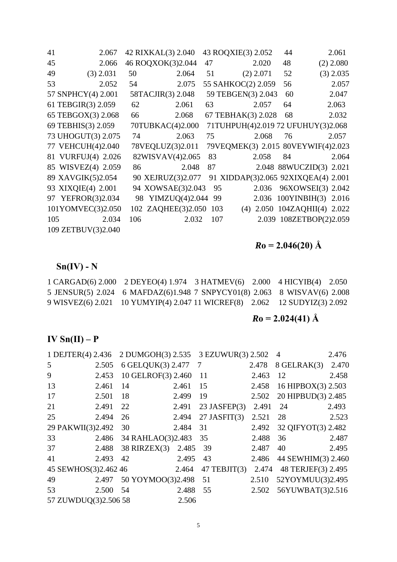| 41  | 2.067              | 42 RIXKAL(3) 2.040 |                    |     | 43 ROQXIE(3) 2.052                  | 44 | 2.061                        |
|-----|--------------------|--------------------|--------------------|-----|-------------------------------------|----|------------------------------|
| 45  | 2.066              |                    | 46 ROQXOK(3)2.044  | 47  | 2.020                               | 48 | $(2)$ 2.080                  |
| 49  | $(3)$ 2.031        | 50                 | 2.064              | 51  | $(2)$ 2.071                         | 52 | $(3)$ 2.035                  |
| 53  | 2.052              | 54                 | 2.075              |     | 55 SAHKOC(2) 2.059                  | 56 | 2.057                        |
|     | 57 SNPHCY(4) 2.001 |                    | 58TACJIR(3) 2.048  |     | 59 TEBGEN(3) 2.043                  | 60 | 2.047                        |
|     | 61 TEBGIR(3) 2.059 | 62                 | 2.061              | 63  | 2.057                               | 64 | 2.063                        |
|     | 65 TEBGOX(3) 2.068 | 66                 | 2.068              |     | 67 TEBHAK(3) 2.028                  | 68 | 2.032                        |
|     | 69 TEBHIS(3) 2.059 |                    | 70TUBKAC(4)2.000   |     | 71TUHPUH(4)2.019 72 UFUHUY(3)2.068  |    |                              |
|     | 73 UHOGUT(3) 2.075 | 74                 | 2.063              | 75  | 2.068                               | 76 | 2.057                        |
|     | 77 VEHCUH(4)2.040  |                    | 78VEQLUZ(3)2.011   |     | 79VEQMEK(3) 2.015 80VEYWIF(4)2.023  |    |                              |
|     | 81 VURFUJ(4) 2.026 |                    | 82WISVAV(4)2.065   | 83  | 2.058                               | 84 | 2.064                        |
|     | 85 WISVEZ(4) 2.059 | 86                 | 2.048              | 87  |                                     |    | 2.048 88WUCZID(3) 2.021      |
|     | 89 XAVGIK(5)2.054  |                    | 90 XEJRUZ(3)2.077  |     | 91 XIDDAP(3)2.065 92XIXQEA(4) 2.001 |    |                              |
|     | 93 XIXQIE(4) 2.001 |                    | 94 XOWSAE(3)2.043  | 95  | 2.036                               |    | 96XOWSEI(3) 2.042            |
|     | 97 YEFROR(3)2.034  |                    | 98 YIMZUQ(4)2.044  | 99  |                                     |    | 2.036 100YINBIH(3) 2.016     |
|     | 101YOMVEC(3)2.050  |                    | 102 ZAQHEE(3)2.050 | 103 |                                     |    | (4) 2.050 104ZAQHII(4) 2.022 |
| 105 | 2.034              | 106                | 2.032              | 107 |                                     |    | 2.039 108ZETBOP(2)2.059      |
|     | 109 ZETBUV(3)2.040 |                    |                    |     |                                     |    |                              |

# *R***o = 2.046(20) Å**

# **Sn(IV) - N**

| $1 \text{ CARGAD}(6)$ 2.000 2 DEYEO(4) 1.974 3 HATMEV(6) 2.000 4 HICYIB(4) 2.050 |  |  |
|----------------------------------------------------------------------------------|--|--|
| 5 JENSUR(5) 2.024 6 MAFDAZ(6)1.948 7 SNPYCY01(8) 2.063 8 WISVAV(6) 2.008         |  |  |
| 9 WISVEZ(6) 2.021 10 YUMYIP(4) 2.047 11 WICREF(8) 2.062 12 SUDYIZ(3) 2.092       |  |  |

# $R$ **o** = 2.024(41) Å

# **IV Sn(II) – P**

| 1 DEJTER(4) 2.436    |       | 2 DUMGOH(3) 2.535 3 EZUWUR(3) 2.502 |       |                   |       | $\overline{4}$     | 2.476 |
|----------------------|-------|-------------------------------------|-------|-------------------|-------|--------------------|-------|
| 5                    | 2.505 | 6 GELQUK(3) 2.477                   |       | $7\phantom{.0}$   | 2.478 | $8$ GELRAK $(3)$   | 2.470 |
| 9                    | 2.453 | 10 GELROF(3) 2.460                  |       | <sup>11</sup>     | 2.463 | 12                 | 2.458 |
| 13                   | 2.461 | 14                                  | 2.461 | 15                | 2.458 | 16 HIPBOX(3) 2.503 |       |
| 17                   | 2.501 | 18                                  | 2.499 | 19                | 2.502 | 20 HIPBUD(3) 2.485 |       |
| 21                   | 2.491 | 22                                  | 2.491 | $23$ JASFEP $(3)$ | 2.491 | 24                 | 2.493 |
| 25                   | 2.494 | 26                                  | 2.494 | $27$ JASFIT(3)    | 2.521 | 28                 | 2.523 |
| 29 PAKWII(3)2.492    |       | 30                                  | 2.484 | 31                | 2.492 | 32 QIFYOT(3) 2.482 |       |
| 33                   | 2.486 | 34 RAHLAO(3)2.483                   |       | 35                | 2.488 | 36                 | 2.487 |
| 37                   | 2.488 | $38$ RIRZEX(3)                      | 2.485 | 39                | 2.487 | 40                 | 2.495 |
| 41                   | 2.493 | 42                                  | 2.495 | 43                | 2.486 | 44 SEWHIM(3) 2.460 |       |
| 45 SEWHOS(3)2.462 46 |       |                                     | 2.464 | $47$ TEBJIT $(3)$ | 2.474 | 48 TERJEF(3) 2.495 |       |
| 49                   | 2.497 | 50 YOYMOO(3)2.498                   |       | 51                | 2.510 | 52YOYMUU(3)2.495   |       |
| 53                   | 2.500 | 54                                  | 2.488 | 55                | 2.502 | 56YUWBAT(3)2.516   |       |
| 57 ZUWDUQ(3)2.506 58 |       |                                     | 2.506 |                   |       |                    |       |

 $\sim$  5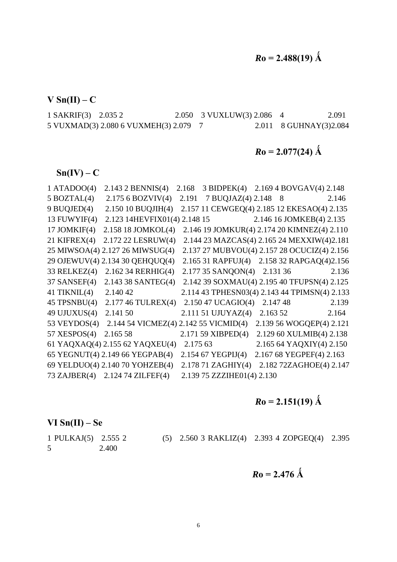**V Sn(II) – C** 

1 SAKRIF(3) 2.035 2 2.050 3 VUXLUW(3) 2.086 4 2.091 5 VUXMAD(3) 2.080 6 VUXMEH(3) 2.079 7 2.011 8 GUHNAY(3)2.084

## $R$ **o** = 2.077(24)  $\AA$

 $\text{Sn}(IV) - C$ 

| $1$ ATADOO(4)    | 2.143 2 BENNIS(4)                                  | 2.168    | 3 BIDPEK(4) 2.169 4 BOVGAV(4) 2.148 |                                               |
|------------------|----------------------------------------------------|----------|-------------------------------------|-----------------------------------------------|
| $5$ BOZTAL $(4)$ | 2.1756 BOZVIV(4)                                   | 2.191    | 7 BUQJAZ(4) 2.148 8                 | 2.146                                         |
| 9 BUQJED(4)      | 2.150 10 BUQJIH(4)                                 |          |                                     | 2.157 11 CEWGEQ(4) 2.185 12 EKESAO(4) 2.135   |
| 13 FUWYIF $(4)$  | 2.123 14HEVFIX01(4) 2.148 15                       |          |                                     | 2.146 16 JOMKEB(4) 2.135                      |
| 17 JOMKIF $(4)$  | 2.158 18 JOMKOL(4)                                 |          |                                     | 2.146 19 JOMKUR(4) 2.174 20 KIMNEZ(4) 2.110   |
| 21 KIFREX $(4)$  | 2.172 22 LESRUW(4)                                 |          |                                     | 2.144 23 MAZCAS(4) 2.165 24 MEXXIW(4)2.181    |
|                  | 25 MIWSOA(4) 2.127 26 MIWSUG(4)                    |          |                                     | 2.137 27 MUBVOU(4) 2.157 28 OCUCIZ(4) 2.156   |
|                  | 29 OJEWUV(4) 2.134 30 QEHQUQ(4)                    |          |                                     | 2.165 31 RAPFUJ(4) 2.158 32 RAPGAQ(4)2.156    |
| 33 RELKEZ(4)     | 2.162 34 RERHIG(4)                                 |          | 2.177 35 SANQON(4) 2.131 36         | 2.136                                         |
| $37$ SANSEF(4)   | 2.143 38 SANTEG(4)                                 |          |                                     | 2.142 39 SOXMAU(4) 2.195 40 TFUPSN(4) 2.125   |
| 41 TIKNIL $(4)$  | 2.140 42                                           |          |                                     | 2.114 43 TPHESN03(4) 2.143 44 TPIMSN(4) 2.133 |
| $45$ TPSNBU(4)   | 2.177 46 TULREX(4)                                 |          | 2.150 47 UCAGIO(4) 2.147 48         | 2.139                                         |
| 49 UJUXUS $(4)$  | 2.141 50                                           |          | 2.111 51 UJUYAZ(4) 2.163 52         | 2.164                                         |
|                  | 53 VEYDOS(4) 2.144 54 VICMEZ(4) 2.142 55 VICMID(4) |          |                                     | 2.139 56 WOGQEP(4) 2.121                      |
| 57 XESPOS $(4)$  | 2.165 58                                           |          | 2.171 59 XIBPED(4)                  | 2.129 60 XULMIB(4) 2.138                      |
|                  | 61 YAQXAQ(4) 2.155 62 YAQXEU(4)                    | 2.175 63 |                                     | 2.165 64 YAQXIY(4) 2.150                      |
|                  | 65 YEGNUT(4) 2.149 66 YEGPAB(4)                    |          | 2.154 67 YEGPIJ(4)                  | 2.167 68 YEGPEF(4) 2.163                      |
|                  | 69 YELDUO(4) 2.140 70 YOHZEB(4)                    |          |                                     | 2.178 71 ZAGHIY(4) 2.182 72ZAGHOE(4) 2.147    |
|                  | 73 ZAJBER(4) 2.124 74 ZILFEF(4)                    |          | 2.139 75 ZZZIHE01(4) 2.130          |                                               |

# $R$ **o** = 2.151(19)  $\AA$

**VI Sn(II) – Se** 

5 2.400

1 PULKAJ(5) 2.555 2 (5) 2.560 3 RAKLIZ(4) 2.393 4 ZOPGEQ(4) 2.395

 $R_0 = 2.476 \text{ Å}$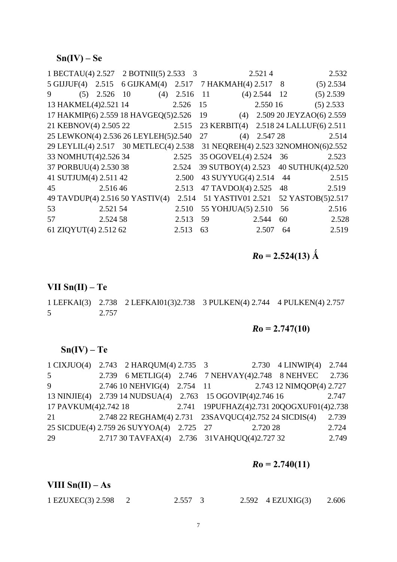### **Sn(IV) – Se**

| 1 BECTAU(4) 2.527 2 BOTNII(5) 2.533 3 |          |                                     |       |    |                    | 2.5214         |    | 2.532                                 |
|---------------------------------------|----------|-------------------------------------|-------|----|--------------------|----------------|----|---------------------------------------|
| $5 \text{ GIJUF}(4)$ 2.515            |          | 6 GIJKAM(4) 2.517 7 HAKMAH(4) 2.517 |       |    |                    |                | 8  | $(5)$ 2.534                           |
| 9<br>(5)                              | 2.526    | 10<br>(4)                           | 2.516 | 11 |                    | $(4)$ 2.544 12 |    | $(5)$ 2.539                           |
| 13 HAKMEL(4)2.521 14                  |          |                                     | 2.526 | 15 |                    | 2.550 16       |    | $(5)$ 2.533                           |
| 17 HAKMIP(6) 2.559 18 HAVGEQ(5)2.526  |          |                                     |       | 19 | (4)                |                |    | 2.509 20 JEYZAO(6) 2.559              |
| 21 KEBNOV(4) 2.505 22                 |          | 2.515                               |       |    |                    |                |    | 23 KERBIT(4) 2.518 24 LALLUF(6) 2.511 |
| 25 LEWKON(4) 2.536 26 LEYLEH(5)2.540  |          |                                     |       | 27 | (4)                | 2.547 28       |    | 2.514                                 |
| 29 LEYLIL(4) 2.517 30 METLEC(4) 2.538 |          |                                     |       |    |                    |                |    | 31 NEQREH(4) 2.523 32NOMHON(6)2.552   |
| 33 NOMHUT(4)2.526 34                  |          |                                     | 2.525 |    | 35 OGOVEL(4) 2.524 |                | 36 | 2.523                                 |
| 37 PORBUU(4) 2.530 38                 |          |                                     | 2.524 |    |                    |                |    | 39 SUTBOY(4) 2.523 40 SUTHUK(4)2.520  |
| 41 SUTJUM(4) 2.511 42                 |          |                                     | 2.500 |    | 43 SUYYUG(4) 2.514 |                | 44 | 2.515                                 |
| 2.51646<br>45                         |          |                                     | 2.513 |    | 47 TAVDOJ(4) 2.525 |                | 48 | 2.519                                 |
| 49 TAVDUP(4) 2.516 50 YASTIV(4)       |          |                                     | 2.514 |    | 51 YASTIV01 2.521  |                |    | 52 YASTOB(5)2.517                     |
| 53                                    | 2.521 54 |                                     | 2.510 |    | 55 YOHJUA(5) 2.510 |                | 56 | 2.516                                 |
| 57                                    | 2.524 58 |                                     | 2.513 | 59 |                    | 2.544          | 60 | 2.528                                 |
| 61 ZIQYUT(4) 2.512 62                 |          |                                     | 2.513 | 63 |                    | 2.507          | 64 | 2.519                                 |

 $R$ **o** = 2.524(13)  $\AA$ 

#### **VII Sn(II) – Te**

1 LEFKAI(3) 2.738 2 LEFKAI01(3)2.738 3 PULKEN(4) 2.744 4 PULKEN(4) 2.757 5 2.757

### $Ro = 2.747(10)$

### **Sn(IV) – Te**

|                      | 1 CIXJUO(4) 2.743 2 HARQUM(4) 2.735 3                      |  |          | 2.730 4 LINWIP(4) 2.744                   |       |
|----------------------|------------------------------------------------------------|--|----------|-------------------------------------------|-------|
| 5 <sup>5</sup>       | 2.739 6 METLIG(4) 2.746 7 NEHVAY(4)2.748 8 NEHVEC          |  |          |                                           | 2.736 |
| 9                    | 2.746 10 NEHVIG(4) 2.754 11 2.743 12 NIMQOP(4) 2.727       |  |          |                                           |       |
|                      | 13 NINJIE(4) 2.739 14 NUDSUA(4) 2.763 15 OGOVIP(4)2.746 16 |  |          |                                           | 2.747 |
| 17 PAVKUM(4)2.742 18 |                                                            |  |          | 2.741 19PUFHAZ(4)2.731 20QOGXUF01(4)2.738 |       |
| 21                   | 2.748 22 REGHAM(4) 2.731 23SAVQUC(4)2.752 24 SICDIS(4)     |  |          |                                           | 2.739 |
|                      | 25 SICDUE(4) 2.759 26 SUYYOA(4) 2.725 27                   |  | 2.720 28 |                                           | 2.724 |
| 29                   | 2.717 30 TAVFAX(4) 2.736 31 VAHQUQ(4) 2.727 32             |  |          |                                           | 2.749 |

### $Ro = 2.740(11)$

### **VIII**  $\text{Sn(II)} - \text{As}$

| $1$ EZUXEC(3) 2.598 $2$ | $2.557 \quad 3$ | 2.592 4 EZUXIG(3) | 2.606 |
|-------------------------|-----------------|-------------------|-------|
|                         |                 |                   |       |

7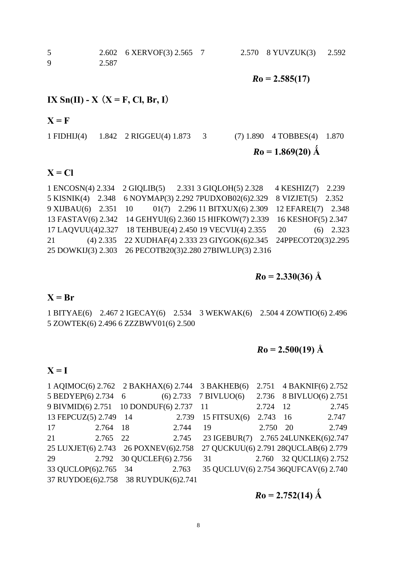5 2.602 6 XERVOF(3) 2.565 7 2.570 8 YUVZUK(3) 2.592 9 2.587

 $Ro = 2.585(17)$ 

### **IX** Sn(**II**) - **X** (**X** = **F**, **Cl**, **Br**, **I**)

#### $X = F$

1 FIDHIJ(4) 1.842 2 RIGGEU(4) 1.873 3 (7) 1.890 4 TOBBES(4) 1.870  $Ro = 1.869(20)$  Å

### $X = CI$

|    | 1 ENCOSN(4) 2.334 2 GIQLIB(5) 2.331 3 GIQLOH(5) 2.328 4 KESHIZ(7) 2.239     |             |
|----|-----------------------------------------------------------------------------|-------------|
|    | 5 KISNIK(4) 2.348 6 NOYMAP(3) 2.292 7PUDXOB02(6)2.329 8 VIZJET(5) 2.352     |             |
|    | 9 XIJBAU(6) 2.351 10 01(7) 2.296 11 BITXUX(6) 2.309 12 EFAREI(7) 2.348      |             |
|    | 13 FASTAV(6) 2.342 14 GEHYUI(6) 2.360 15 HIFKOW(7) 2.339 16 KESHOF(5) 2.347 |             |
|    | 17 LAQVUU(4)2.327 18 TEHBUE(4) 2.450 19 VECVIJ(4) 2.355 20                  | $(6)$ 2.323 |
| 21 | (4) 2.335 22 XUDHAF(4) 2.333 23 GIYGOK(6)2.345 24PPECOT20(3)2.295           |             |
|    | 25 DOWKIJ(3) 2.303 26 PECOTB20(3)2.280 27BIWLUP(3) 2.316                    |             |

 $R$ **o** = 2.330(36) Å

#### $X = Br$

1 BITYAE(6) 2.467 2 IGECAY(6) 2.534 3 WEKWAK(6) 2.504 4 ZOWTIO(6) 2.496 5 ZOWTEK(6) 2.496 6 ZZZBWV01(6) 2.500

### $Ro = 2.500(19)$  Å

#### $X = I$

|                                         |       |                    |             | 1 AQIMOC(6) 2.762 2 BAKHAX(6) 2.744 3 BAKHEB(6) |          | 2.751 4 BAKNIF(6) 2.752  |       |
|-----------------------------------------|-------|--------------------|-------------|-------------------------------------------------|----------|--------------------------|-------|
| 5 BEDYEP(6) 2.734 6                     |       |                    | $(6)$ 2.733 | $7$ BIVLUO(6)                                   |          | 2.736 8 BIVLUO(6) 2.751  |       |
| 9 BIVMID(6) 2.751 10 DONDUF(6) 2.737 11 |       |                    |             |                                                 | 2.724 12 |                          | 2.745 |
| 13 FEPCUZ(5) 2.749 14                   |       |                    | 2.739       | 15 FITSUX $(6)$                                 | 2.743 16 |                          | 2.747 |
| 17                                      | 2.764 | -18                | 2.744       | 19                                              | 2.750 20 |                          | 2.749 |
| 21                                      | 2.765 | 22                 | 2.745       | 23 IGEBUR(7) 2.765 24LUNKEK(6)2.747             |          |                          |       |
| 25 LUXJET(6) 2.743 26 POXNEV(6)2.758    |       |                    |             | 27 QUCKUU(6) 2.791 28QUCLAB(6) 2.779            |          |                          |       |
| 29                                      | 2.792 | 30 QUCLEF(6) 2.756 |             | 31                                              |          | 2.760 32 QUCLIJ(6) 2.752 |       |
| 33 QUCLOP(6)2.765 34                    |       |                    | 2.763       | 35 QUCLUV(6) 2.754 36QUFCAV(6) 2.740            |          |                          |       |
| 37 RUYDOE(6)2.758 38 RUYDUK(6)2.741     |       |                    |             |                                                 |          |                          |       |

 $R_0 = 2.752(14)$  Å